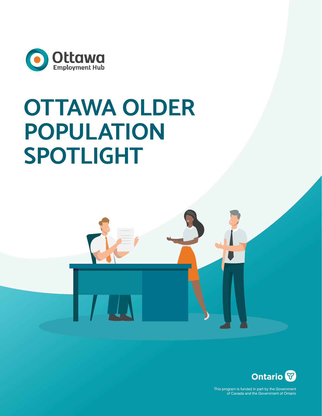

# **OTTAWA OLDER POPULATION SPOTLIGHT**



This program is funded in part by the Government of Canada and the Government of Ontario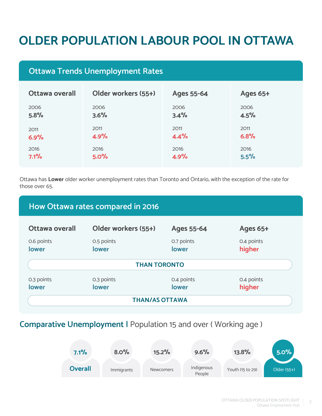## **OLDER POPULATION LABOUR POOL IN OTTAWA**

## **Ottawa Trends Unemployment Rates**

| Ottawa overall | Older workers (55+) | Ages 55-64 | <b>Ages 65+</b> |
|----------------|---------------------|------------|-----------------|
| 2006           | 2006                | 2006       | 2006            |
| 5.8%           | 3.6%                | 3.4%       | 4.5%            |
| 2011           | 2011                | 2011       | 2011            |
| 6.9%           | 4.9%                | 4.4%       | 6.8%            |
| 2016           | 2016                | 2016       | 2016            |
| 7.1%           | 5.0%                | 4.9%       | 5.5%            |

Ottawa has **Lower** older worker unemployment rates than Toronto and Ontario, with the exception of the rate for those over 65.

#### **Ottawa overall Older workers (55+) Ages 55-64 Ages 65+** 0.6 points **lower** 0.5 points **lower** 0.7 points **lower** 0.4 points **higher** 0.3 points **lower** 0.3 points **lower** 0.4 points **lower** 0.4 points **higher How Ottawa rates compared in 2016 THAN TORONTO THAN/AS OTTAWA**

## **Comparative Unemployment |** Population 15 and over ( Working age )

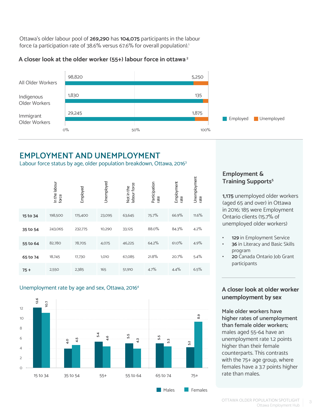Ottawa's older labour pool of **269,290** has **104,075** participants in the labour force (a participation rate of 38.6% versus 67.6% for overall population).<sup>1</sup>

#### **A closer look at the older worker (55+) labour force in ottawa 2**



## **EMPLOYMENT AND UNEMPLOYMENT**

Labour force status by age, older population breakdown, Ottawa, 20163

|          | In the labour<br>force | Employed | Unemployed | labour force<br>Not in the | Participation<br>rate | Employment<br>rate | Unemployment<br>rate |
|----------|------------------------|----------|------------|----------------------------|-----------------------|--------------------|----------------------|
| 15 to 34 | 198,500                | 175,400  | 23,095     | 63,645                     | 75.7%                 | 66.9%              | 11.6%                |
| 35 to 54 | 243,065                | 232,775  | 10,290     | 33,125                     | 88.0%                 | 84.3%              | 4.2%                 |
| 55 to 64 | 82,780                 | 78,705   | 4,075      | 46,225                     | 64.2%                 | 61.0%              | 4.9%                 |
| 65 to 74 | 18,745                 | 17,730   | 1,010      | 67,085                     | 21.8%                 | 20.7%              | 5.4%                 |
| $75+$    | 2,550                  | 2,385    | 165        | 51,910                     | 4.7%                  | 4.4%               | 6.5%                 |

#### Unemployment rate by age and sex, Ottawa, 20164



#### **Employment & Training Supports<sup>5</sup>**

**1,175** unemployed older workers (aged 65 and over) in Ottawa in 2016; 185 were Employment Ontario clients (15.7% of unemployed older workers)

- **• 129** in Employment Service
- **• 36** in Literacy and Basic Skills program
- **• 20** Canada Ontario Job Grant participants

#### **A closer look at older worker unemployment by sex**

**Male older workers have higher rates of unemployment than female older workers;**  males aged 55-64 have an unemployment rate 1.2 points higher than their female counterparts. This contrasts with the 75+ age group, where females have a 3.7 points higher rate than males.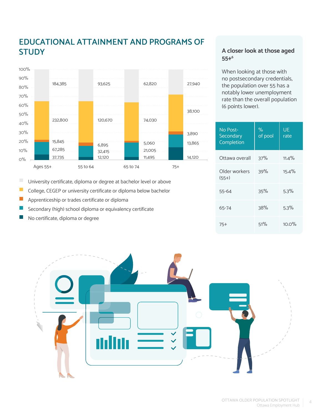## **EDUCATIONAL ATTAINMENT AND PROGRAMS OF STUDY**



п University certificate, diploma or degree at bachelor level or above

- $\mathbb{R}^3$ College, CEGEP or university certificate or diploma below bachelor
- $\overline{\phantom{a}}$ Apprenticeship or trades certificate or diploma
- Secondary (high) school diploma or equivalency certificate
- No certificate, diploma or degree

#### **A closer look at those aged 55+6**

When looking at those with no postsecondary credentials, the population over 55 has a notably lower unemployment rate than the overall population (6 points lower).

| No Post-<br>Secondary<br>Completion | $\%$<br>of pool | UE<br>rate |
|-------------------------------------|-----------------|------------|
| Ottawa overall                      | 37%             | $11.4\%$   |
| Older workers<br>$(55+)$            | 39%             | 15.4%      |
| 55-64                               | 35%             | 5.3%       |
| 65-74                               | 38%             | 5.3%       |
| 75+                                 | 51%             | $10.0\%$   |

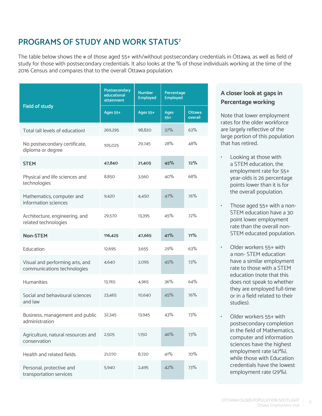## **PROGRAMS OF STUDY AND WORK STATUS7**

The table below shows the # of those aged 55+ with/without postsecondary credentials in Ottawa, as well as field of study for those with postsecondary credentials. It also looks at the % of those individuals working at the time of the 2016 Census and compares that to the overall Ottawa population.

|                                                                | Postsecondary<br>educational<br>attainment | <b>Number</b><br><b>Employed</b> | Percentage<br><b>Employed</b> |                          |
|----------------------------------------------------------------|--------------------------------------------|----------------------------------|-------------------------------|--------------------------|
| <b>Field of study</b>                                          | Ages 55+                                   | <b>Ages 55+</b>                  | <b>Ages</b><br>$55+$          | <b>Ottawa</b><br>overall |
| Total (all levels of education)                                | 269,295                                    | 98,820                           | 37%                           | 63%                      |
| No postsecondary certificate,<br>diploma or degree             | 105,025                                    | 29,745                           | 28%                           | 48%                      |
| <b>STEM</b>                                                    | 47,840                                     | 21,405                           | 45%                           | 72%                      |
| Physical and life sciences and<br>technologies                 | 8,850                                      | 3,560                            | 40%                           | 68%                      |
| Mathematics, computer and<br>information sciences              | 9,420                                      | 4.450                            | 47%                           | 76%                      |
| Architecture, engineering, and<br>related technologies         | 29,570                                     | 13.395                           | 45%                           | 72%                      |
| <b>Non-STEM</b>                                                | 116,425                                    | 47,665                           | 41%                           | 71%                      |
| Education                                                      | 12,695                                     | 3,655                            | 29%                           | 63%                      |
| Visual and performing arts, and<br>communications technologies | 4,640                                      | 2,095                            | 45%                           | 73%                      |
| <b>Humanities</b>                                              | 13,765                                     | 4.965                            | 36%                           | 64%                      |
| Social and behavioural sciences<br>and law                     | 23,465                                     | 10,640                           | 45%                           | 76%                      |
| Business, management and public<br>administration              | 32,345                                     | 13,945                           | 43%                           | 73%                      |
| Agriculture, natural resources and<br>conservation             | 2,505                                      | 1,150                            | 46%                           | 73%                      |
| Health and related fields                                      | 21,070                                     | 8,720                            | 41%                           | 70%                      |
| Personal, protective and<br>transportation services            | 5,940                                      | 2,495                            | 42%                           | 73%                      |

#### **A closer look at gaps in Percentage working**

Note that lower employment rates for the older workforce are largely reflective of the large portion of this population that has retired.

- Looking at those with a STEM education, the employment rate for 55+ year-olds is 26 percentage points lower than it is for the overall population.
- Those aged 55+ with a non-STEM education have a 30 point lower employment rate than the overall non-STEM educated population.
- Older workers 55+ with a non- STEM education have a similar employment rate to those with a STEM education (note that this does not speak to whether they are employed full-time or in a field related to their studies).
- Older workers 55+ with postsecondary completion in the field of Mathematics, computer and information sciences have the highest employment rate (47%), while those with Education credentials have the lowest employment rate (29%).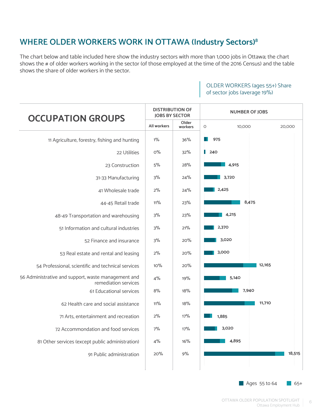## **WHERE OLDER WORKERS WORK IN OTTAWA (Industry Sectors)8**

The chart below and table included here show the industry sectors with more than 1,000 jobs in Ottawa; the chart shows the # of older workers working in the sector (of those employed at the time of the 2016 Census) and the table shows the share of older workers in the sector.

#### **DISTRIBUTION OF NUMBER OF JOBS JOBS BY SECTOR OCCUPATION GROUPS Older All workers** 0 10,000 20,000 **workers** 1% 36% **975** 11 Agriculture, forestry, fishing and hunting H.  $0%$ 32%  $1240$ 22 Utilities 28% 23 Construction 5% **4,915** 31-33 Manufacturing 3% 24%  **3,720** 41 Wholesale trade 2% 24%  **2,425** 11% 23%  **8,475** 44-45 Retail trade 3% 23%  **4,215**  48-49 Transportation and warehousing  **2,370**  51 Information and cultural industries 3% 21% 20%  **3,020**  52 Finance and insurance 3%  **3,000**   $2%$ 20% 53 Real estate and rental and leasing  $10\%$ 20% **12,165** 54 Professional, scientific and technical services 56 Administrative and support, waste management and  $4%$ 19% **5,140** remediation services 18% 61 Educational services 8%  **7,940**  $11\%$ 18% 62 Health care and social assistance  **11,710** 17% 2% 71 Arts, entertainment and recreation  **1,885** 72 Accommondation and food services 7% 17%  **3,020**  4% 16%  **4,895**  81 Other services (except public administration) 91 Public administration 20% 9%  **18,515**

#### OLDER WORKERS (ages 55+) Share of sector jobs (average 19%)

Ages  $55$  to  $64$  65+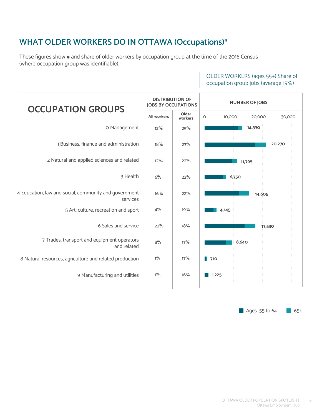## **WHAT OLDER WORKERS DO IN OTTAWA (Occupations)9**

These figures show # and share of older workers by occupation group at the time of the 2016 Census (where occupation group was identifiable).



OLDER WORKERS (ages 55+) Share of occupation group jobs (average 19%)

Ages  $55$  to  $64$  65+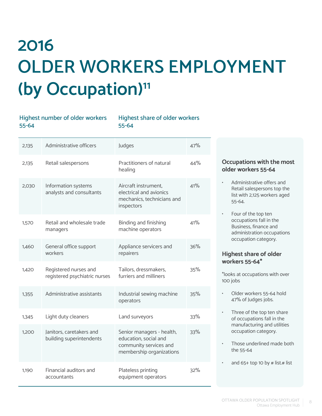## **2016 OLDER WORKERS EMPLOYMENT (by Occupation)11**

Highest share of older workers

55-64

|  | DJ-04 |                                                        | <b>99-04</b>                                                                                             |     |
|--|-------|--------------------------------------------------------|----------------------------------------------------------------------------------------------------------|-----|
|  | 2,135 | Administrative officers                                | Judges                                                                                                   | 47% |
|  | 2,135 | Retail salespersons                                    | Practitioners of natural<br>healing                                                                      | 44% |
|  | 2,030 | Information systems<br>analysts and consultants        | Aircraft instrument,<br>electrical and avionics<br>mechanics, technicians and<br>inspectors              | 41% |
|  | 1,570 | Retail and wholesale trade<br>managers                 | Binding and finishing<br>machine operators                                                               | 41% |
|  | 1,460 | General office support<br>workers                      | Appliance servicers and<br>repairers                                                                     | 36% |
|  | 1,420 | Registered nurses and<br>registered psychiatric nurses | Tailors, dressmakers,<br>furriers and milliners                                                          | 35% |
|  | 1,355 | Administrative assistants                              | Industrial sewing machine<br>operators                                                                   | 35% |
|  | 1,345 | Light duty cleaners                                    | Land surveyors                                                                                           | 33% |
|  | 1,200 | Janitors, caretakers and<br>building superintendents   | Senior managers - health,<br>education, social and<br>community services and<br>membership organizations | 33% |
|  | 1,190 | Financial auditors and<br>accountants                  | Plateless printing<br>equipment operators                                                                | 32% |

Highest number of older workers

55-64

#### **Occupations with the most older workers 55-64**

- Administrative offers and Retail salespersons top the list with 2,125 workers aged 55-64.
- Four of the top ten occupations fall in the Business, finance and administration occupations occupation category.

#### **Highest share of older workers 55-64\***

\*looks at occupations with over 100 jobs

- Older workers 55-64 hold 47% of Judges jobs.
- Three of the top ten share of occupations fall in the manufacturing and utilities occupation category.
- Those underlined made both the 55-64
- and 65+ top 10 by  $\#$  list. $\#$  list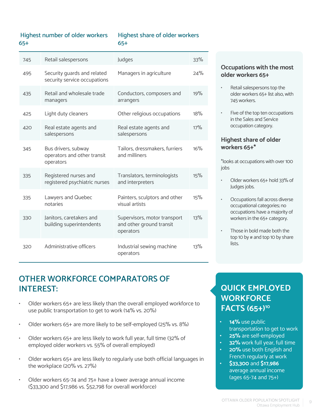#### Highest number of older workers 65+

#### Highest share of older workers 65+

| 745 | Retail salespersons                                             | Judges                                                                | 33% |
|-----|-----------------------------------------------------------------|-----------------------------------------------------------------------|-----|
| 495 | Security guards and related<br>security service occupations     | Managers in agriculture                                               | 24% |
| 435 | Retail and wholesale trade<br>managers                          | Conductors, composers and<br>arrangers                                | 19% |
| 425 | Light duty cleaners                                             | Other religious occupations                                           | 18% |
| 420 | Real estate agents and<br>salespersons                          | Real estate agents and<br>salespersons                                | 17% |
| 345 | Bus drivers, subway<br>operators and other transit<br>operators | Tailors, dressmakers, furriers<br>and milliners                       | 16% |
| 335 | Registered nurses and<br>registered psychiatric nurses          | Translators, terminologists<br>and interpreters                       | 15% |
| 335 | Lawyers and Quebec<br>notaries                                  | Painters, sculptors and other<br>visual artists                       | 15% |
| 330 | Janitors, caretakers and<br>building superintendents            | Supervisors, motor transport<br>and other ground transit<br>operators | 13% |
| 320 | Administrative officers                                         | Industrial sewing machine<br>operators                                | 13% |

## **OTHER WORKFORCE COMPARATORS OF INTEREST:**

- Older workers 65+ are less likely than the overall employed workforce to use public transportation to get to work (14% vs. 20%)
- Older workers 65+ are more likely to be self-employed (25% vs. 8%)
- Older workers 65+ are less likely to work full year, full time (32% of employed older workers vs. 55% of overall employed)
- Older workers 65+ are less likely to regularly use both official languages in the workplace (20% vs. 27%)
- Older workers 65-74 and 75+ have a lower average annual income (\$33,300 and \$17,986 vs. \$52,798 for overall workforce)

#### **Occupations with the most older workers 65+**

- Retail salespersons top the older workers 65+ list also, with 745 workers.
- Five of the top ten occupations in the Sales and Service occupation category.

#### **Highest share of older workers 65+\***

\*looks at occupations with over 100 jobs

- Older workers 65+ hold 33% of Judges jobs.
- Occupations fall across diverse occupational categories; no occupations have a majority of workers in the 65+ category.
- Those in bold made both the top 10 by  $#$  and top 10 by share lists.

## **QUICK EMPLOYED WORKFORCE FACTS (65+)10**

- **• 14%** use public transportation to get to work **• 25%** are self-employed
- **• 32%** work full year, full time
- **• 20%** use both English and
- French regularly at work **• \$33,300** and **\$17,986** average annual income

(ages 65-74 and 75+)

- OTTAWA OLDER POPULATION SPOTLIGHT Ottawa Employment Hub
-